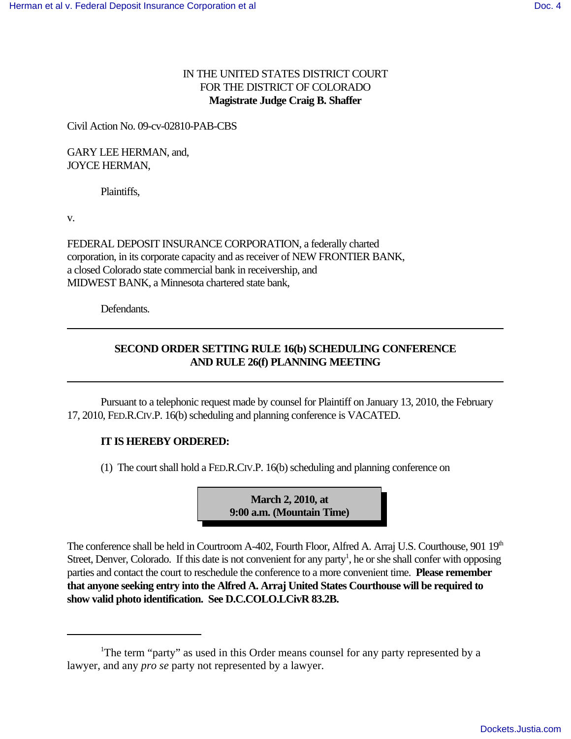## IN THE UNITED STATES DISTRICT COURT FOR THE DISTRICT OF COLORADO **Magistrate Judge Craig B. Shaffer**

Civil Action No. 09-cv-02810-PAB-CBS

GARY LEE HERMAN, and, JOYCE HERMAN,

Plaintiffs,

v.

FEDERAL DEPOSIT INSURANCE CORPORATION, a federally charted corporation, in its corporate capacity and as receiver of NEW FRONTIER BANK, a closed Colorado state commercial bank in receivership, and MIDWEST BANK, a Minnesota chartered state bank,

Defendants.

## **SECOND ORDER SETTING RULE 16(b) SCHEDULING CONFERENCE AND RULE 26(f) PLANNING MEETING**

Pursuant to a telephonic request made by counsel for Plaintiff on January 13, 2010, the February 17, 2010, FED.R.CIV.P. 16(b) scheduling and planning conference is VACATED.

## **IT IS HEREBY ORDERED:**

 $(1)$  The court shall hold a FED.R.CIV.P. 16(b) scheduling and planning conference on

**March 2, 2010, at 9:00 a.m. (Mountain Time)**

The conference shall be held in Courtroom A-402, Fourth Floor, Alfred A. Arraj U.S. Courthouse, 901 19<sup>th</sup> Street, Denver, Colorado. If this date is not convenient for any party<sup>1</sup>, he or she shall confer with opposing parties and contact the court to reschedule the conference to a more convenient time. **Please remember that anyone seeking entry into the Alfred A. Arraj United States Courthouse will be required to show valid photo identification. See D.C.COLO.LCivR 83.2B.**

<sup>&</sup>lt;sup>1</sup>The term "party" as used in this Order means counsel for any party represented by a lawyer, and any *pro se* party not represented by a lawyer.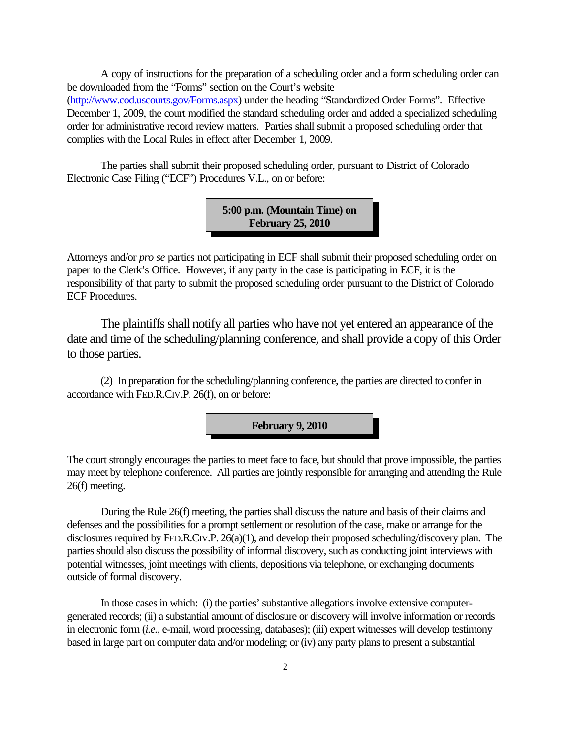A copy of instructions for the preparation of a scheduling order and a form scheduling order can be downloaded from the "Forms" section on the Court's website (http://www.cod.uscourts.gov/Forms.aspx) under the heading "Standardized Order Forms". Effective December 1, 2009, the court modified the standard scheduling order and added a specialized scheduling order for administrative record review matters. Parties shall submit a proposed scheduling order that complies with the Local Rules in effect after December 1, 2009.

The parties shall submit their proposed scheduling order, pursuant to District of Colorado Electronic Case Filing ("ECF") Procedures V.L., on or before:

> **5:00 p.m. (Mountain Time) on February 25, 2010**

Attorneys and/or *pro se* parties not participating in ECF shall submit their proposed scheduling order on paper to the Clerk's Office. However, if any party in the case is participating in ECF, it is the responsibility of that party to submit the proposed scheduling order pursuant to the District of Colorado ECF Procedures.

The plaintiffs shall notify all parties who have not yet entered an appearance of the date and time of the scheduling/planning conference, and shall provide a copy of this Order to those parties.

(2) In preparation for the scheduling/planning conference, the parties are directed to confer in accordance with FED.R.CIV.P. 26(f), on or before:

**February 9, 2010**

The court strongly encourages the parties to meet face to face, but should that prove impossible, the parties may meet by telephone conference. All parties are jointly responsible for arranging and attending the Rule 26(f) meeting.

During the Rule 26(f) meeting, the parties shall discuss the nature and basis of their claims and defenses and the possibilities for a prompt settlement or resolution of the case, make or arrange for the disclosures required by FED.R.CIV.P. 26(a)(1), and develop their proposed scheduling/discovery plan. The parties should also discuss the possibility of informal discovery, such as conducting joint interviews with potential witnesses, joint meetings with clients, depositions via telephone, or exchanging documents outside of formal discovery.

In those cases in which: (i) the parties' substantive allegations involve extensive computergenerated records; (ii) a substantial amount of disclosure or discovery will involve information or records in electronic form (*i.e.,* e-mail, word processing, databases); (iii) expert witnesses will develop testimony based in large part on computer data and/or modeling; or (iv) any party plans to present a substantial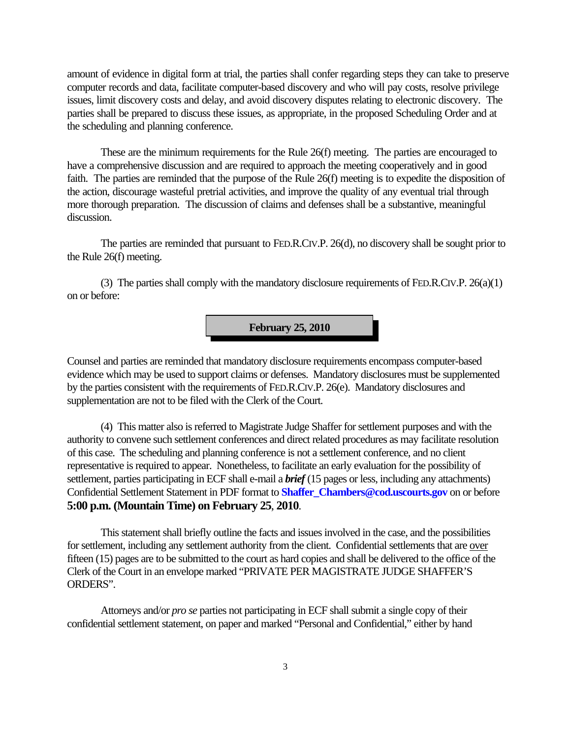amount of evidence in digital form at trial, the parties shall confer regarding steps they can take to preserve computer records and data, facilitate computer-based discovery and who will pay costs, resolve privilege issues, limit discovery costs and delay, and avoid discovery disputes relating to electronic discovery. The parties shall be prepared to discuss these issues, as appropriate, in the proposed Scheduling Order and at the scheduling and planning conference.

These are the minimum requirements for the Rule 26(f) meeting. The parties are encouraged to have a comprehensive discussion and are required to approach the meeting cooperatively and in good faith. The parties are reminded that the purpose of the Rule 26(f) meeting is to expedite the disposition of the action, discourage wasteful pretrial activities, and improve the quality of any eventual trial through more thorough preparation. The discussion of claims and defenses shall be a substantive, meaningful discussion.

The parties are reminded that pursuant to FED.R.CIV.P. 26(d), no discovery shall be sought prior to the Rule 26(f) meeting.

(3) The parties shall comply with the mandatory disclosure requirements of FED.R.CIV.P. 26(a)(1) on or before:

**February 25, 2010**

Counsel and parties are reminded that mandatory disclosure requirements encompass computer-based evidence which may be used to support claims or defenses. Mandatory disclosures must be supplemented by the parties consistent with the requirements of FED.R.CIV.P. 26(e). Mandatory disclosures and supplementation are not to be filed with the Clerk of the Court.

(4) This matter also is referred to Magistrate Judge Shaffer for settlement purposes and with the authority to convene such settlement conferences and direct related procedures as may facilitate resolution of this case. The scheduling and planning conference is not a settlement conference, and no client representative is required to appear. Nonetheless, to facilitate an early evaluation for the possibility of settlement, parties participating in ECF shall e-mail a *brief* (15 pages or less, including any attachments) Confidential Settlement Statement in PDF format to **Shaffer\_Chambers@cod.uscourts.gov** on or before **5:00 p.m. (Mountain Time) on February 25**, **2010**.

This statement shall briefly outline the facts and issues involved in the case, and the possibilities for settlement, including any settlement authority from the client. Confidential settlements that are over fifteen (15) pages are to be submitted to the court as hard copies and shall be delivered to the office of the Clerk of the Court in an envelope marked "PRIVATE PER MAGISTRATE JUDGE SHAFFER'S ORDERS".

Attorneys and/or *pro se* parties not participating in ECF shall submit a single copy of their confidential settlement statement, on paper and marked "Personal and Confidential," either by hand